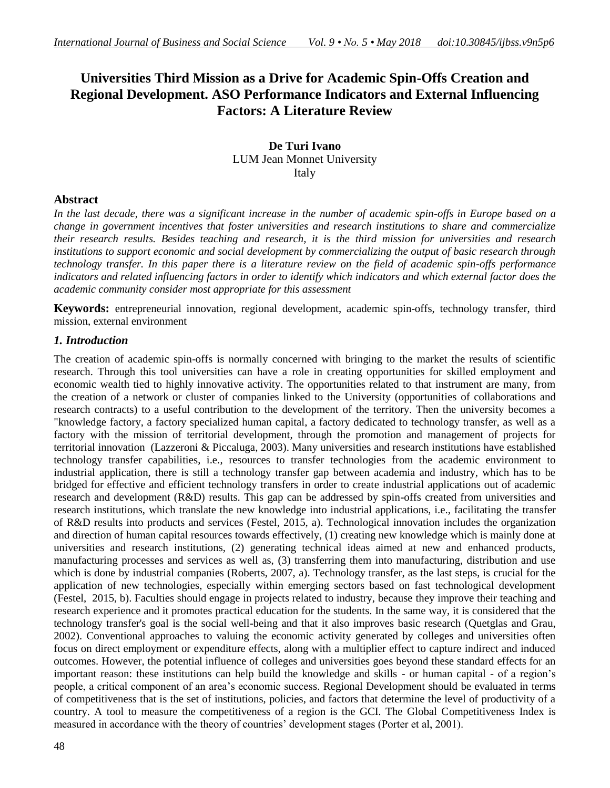# **Universities Third Mission as a Drive for Academic Spin-Offs Creation and Regional Development. ASO Performance Indicators and External Influencing Factors: A Literature Review**

**De Turi Ivano** LUM Jean Monnet University Italy

## **Abstract**

*In the last decade, there was a significant increase in the number of academic spin-offs in Europe based on a change in government incentives that foster universities and research institutions to share and commercialize their research results. Besides teaching and research, it is the third mission for universities and research institutions to support economic and social development by commercializing the output of basic research through technology transfer. In this paper there is a literature review on the field of academic spin-offs performance indicators and related influencing factors in order to identify which indicators and which external factor does the academic community consider most appropriate for this assessment*

**Keywords:** entrepreneurial innovation, regional development, academic spin-offs, technology transfer, third mission, external environment

## *1. Introduction*

The creation of academic spin-offs is normally concerned with bringing to the market the results of scientific research. Through this tool universities can have a role in creating opportunities for skilled employment and economic wealth tied to highly innovative activity. The opportunities related to that instrument are many, from the creation of a network or cluster of companies linked to the University (opportunities of collaborations and research contracts) to a useful contribution to the development of the territory. Then the university becomes a "knowledge factory, a factory specialized human capital, a factory dedicated to technology transfer, as well as a factory with the mission of territorial development, through the promotion and management of projects for territorial innovation (Lazzeroni & Piccaluga, 2003). Many universities and research institutions have established technology transfer capabilities, i.e., resources to transfer technologies from the academic environment to industrial application, there is still a technology transfer gap between academia and industry, which has to be bridged for effective and efficient technology transfers in order to create industrial applications out of academic research and development (R&D) results. This gap can be addressed by spin-offs created from universities and research institutions, which translate the new knowledge into industrial applications, i.e., facilitating the transfer of R&D results into products and services (Festel, 2015, a). Technological innovation includes the organization and direction of human capital resources towards effectively, (1) creating new knowledge which is mainly done at universities and research institutions, (2) generating technical ideas aimed at new and enhanced products, manufacturing processes and services as well as, (3) transferring them into manufacturing, distribution and use which is done by industrial companies (Roberts, 2007, a). Technology transfer, as the last steps, is crucial for the application of new technologies, especially within emerging sectors based on fast technological development (Festel, 2015, b). Faculties should engage in projects related to industry, because they improve their teaching and research experience and it promotes practical education for the students. In the same way, it is considered that the technology transfer's goal is the social well-being and that it also improves basic research (Quetglas and Grau, 2002). Conventional approaches to valuing the economic activity generated by colleges and universities often focus on direct employment or expenditure effects, along with a multiplier effect to capture indirect and induced outcomes. However, the potential influence of colleges and universities goes beyond these standard effects for an important reason: these institutions can help build the knowledge and skills - or human capital - of a region"s people, a critical component of an area"s economic success. Regional Development should be evaluated in terms of competitiveness that is the set of institutions, policies, and factors that determine the level of productivity of a country. A tool to measure the competitiveness of a region is the GCI. The Global Competitiveness Index is measured in accordance with the theory of countries' development stages (Porter et al, 2001).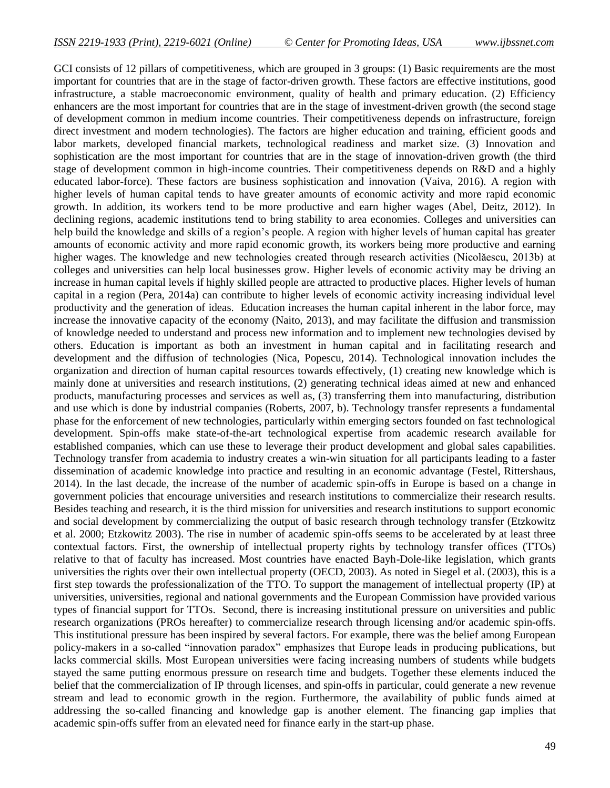GCI consists of 12 pillars of competitiveness, which are grouped in 3 groups: (1) Basic requirements are the most important for countries that are in the stage of factor-driven growth. These factors are effective institutions, good infrastructure, a stable macroeconomic environment, quality of health and primary education. (2) Efficiency enhancers are the most important for countries that are in the stage of investment-driven growth (the second stage of development common in medium income countries. Their competitiveness depends on infrastructure, foreign direct investment and modern technologies). The factors are higher education and training, efficient goods and labor markets, developed financial markets, technological readiness and market size. (3) Innovation and sophistication are the most important for countries that are in the stage of innovation-driven growth (the third stage of development common in high-income countries. Their competitiveness depends on R&D and a highly educated labor-force). These factors are business sophistication and innovation (Vaiva, 2016). A region with higher levels of human capital tends to have greater amounts of economic activity and more rapid economic growth. In addition, its workers tend to be more productive and earn higher wages (Abel, Deitz, 2012). In declining regions, academic institutions tend to bring stability to area economies. Colleges and universities can help build the knowledge and skills of a region's people. A region with higher levels of human capital has greater amounts of economic activity and more rapid economic growth, its workers being more productive and earning higher wages. The knowledge and new technologies created through research activities (Nicolăescu, 2013b) at colleges and universities can help local businesses grow. Higher levels of economic activity may be driving an increase in human capital levels if highly skilled people are attracted to productive places. Higher levels of human capital in a region (Pera, 2014a) can contribute to higher levels of economic activity increasing individual level productivity and the generation of ideas. Education increases the human capital inherent in the labor force, may increase the innovative capacity of the economy (Naito, 2013), and may facilitate the diffusion and transmission of knowledge needed to understand and process new information and to implement new technologies devised by others. Education is important as both an investment in human capital and in facilitating research and development and the diffusion of technologies (Nica, Popescu, 2014). Technological innovation includes the organization and direction of human capital resources towards effectively, (1) creating new knowledge which is mainly done at universities and research institutions, (2) generating technical ideas aimed at new and enhanced products, manufacturing processes and services as well as, (3) transferring them into manufacturing, distribution and use which is done by industrial companies (Roberts, 2007, b). Technology transfer represents a fundamental phase for the enforcement of new technologies, particularly within emerging sectors founded on fast technological development. Spin-offs make state-of-the-art technological expertise from academic research available for established companies, which can use these to leverage their product development and global sales capabilities. Technology transfer from academia to industry creates a win-win situation for all participants leading to a faster dissemination of academic knowledge into practice and resulting in an economic advantage (Festel, Rittershaus, 2014). In the last decade, the increase of the number of academic spin-offs in Europe is based on a change in government policies that encourage universities and research institutions to commercialize their research results. Besides teaching and research, it is the third mission for universities and research institutions to support economic and social development by commercializing the output of basic research through technology transfer (Etzkowitz et al. 2000; Etzkowitz 2003). The rise in number of academic spin-offs seems to be accelerated by at least three contextual factors. First, the ownership of intellectual property rights by technology transfer offices (TTOs) relative to that of faculty has increased. Most countries have enacted Bayh-Dole-like legislation, which grants universities the rights over their own intellectual property (OECD, 2003). As noted in Siegel et al. (2003), this is a first step towards the professionalization of the TTO. To support the management of intellectual property (IP) at universities, universities, regional and national governments and the European Commission have provided various types of financial support for TTOs. Second, there is increasing institutional pressure on universities and public research organizations (PROs hereafter) to commercialize research through licensing and/or academic spin-offs. This institutional pressure has been inspired by several factors. For example, there was the belief among European policy-makers in a so-called "innovation paradox" emphasizes that Europe leads in producing publications, but lacks commercial skills. Most European universities were facing increasing numbers of students while budgets stayed the same putting enormous pressure on research time and budgets. Together these elements induced the belief that the commercialization of IP through licenses, and spin-offs in particular, could generate a new revenue stream and lead to economic growth in the region. Furthermore, the availability of public funds aimed at addressing the so-called financing and knowledge gap is another element. The financing gap implies that academic spin-offs suffer from an elevated need for finance early in the start-up phase.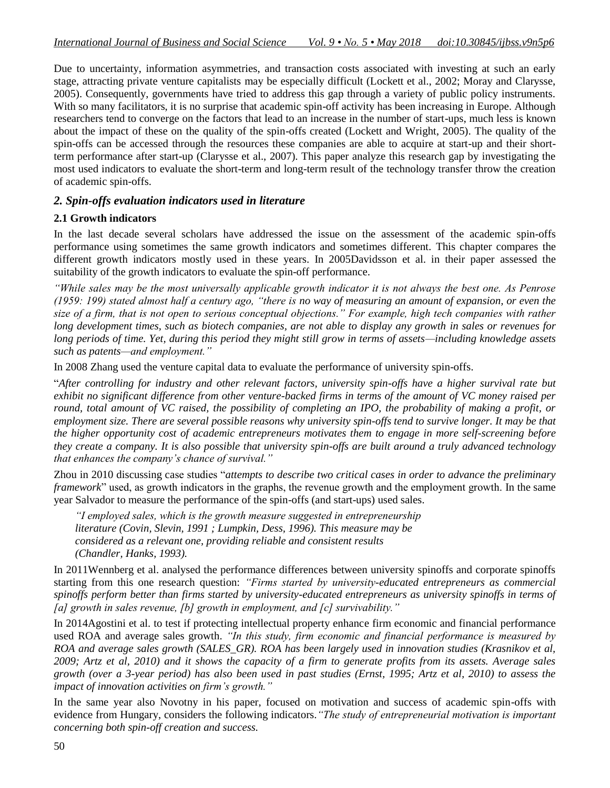Due to uncertainty, information asymmetries, and transaction costs associated with investing at such an early stage, attracting private venture capitalists may be especially difficult (Lockett et al., 2002; Moray and Clarysse, 2005). Consequently, governments have tried to address this gap through a variety of public policy instruments. With so many facilitators, it is no surprise that academic spin-off activity has been increasing in Europe. Although researchers tend to converge on the factors that lead to an increase in the number of start-ups, much less is known about the impact of these on the quality of the spin-offs created (Lockett and Wright, 2005). The quality of the spin-offs can be accessed through the resources these companies are able to acquire at start-up and their shortterm performance after start-up (Clarysse et al., 2007). This paper analyze this research gap by investigating the most used indicators to evaluate the short-term and long-term result of the technology transfer throw the creation of academic spin-offs.

## *2. Spin-offs evaluation indicators used in literature*

#### **2.1 Growth indicators**

In the last decade several scholars have addressed the issue on the assessment of the academic spin-offs performance using sometimes the same growth indicators and sometimes different. This chapter compares the different growth indicators mostly used in these years. In 2005Davidsson et al. in their paper assessed the suitability of the growth indicators to evaluate the spin-off performance.

*"While sales may be the most universally applicable growth indicator it is not always the best one. As Penrose (1959: 199) stated almost half a century ago, "there is no way of measuring an amount of expansion, or even the size of a firm, that is not open to serious conceptual objections." For example, high tech companies with rather long development times, such as biotech companies, are not able to display any growth in sales or revenues for long periods of time. Yet, during this period they might still grow in terms of assets—including knowledge assets such as patents—and employment."* 

In 2008 Zhang used the venture capital data to evaluate the performance of university spin-offs.

"*After controlling for industry and other relevant factors, university spin-offs have a higher survival rate but exhibit no significant difference from other venture-backed firms in terms of the amount of VC money raised per round, total amount of VC raised, the possibility of completing an IPO, the probability of making a profit, or employment size. There are several possible reasons why university spin-offs tend to survive longer. It may be that the higher opportunity cost of academic entrepreneurs motivates them to engage in more self-screening before they create a company. It is also possible that university spin-offs are built around a truly advanced technology that enhances the company"s chance of survival."*

Zhou in 2010 discussing case studies "*attempts to describe two critical cases in order to advance the preliminary framework*" used, as growth indicators in the graphs, the revenue growth and the employment growth. In the same year Salvador to measure the performance of the spin-offs (and start-ups) used sales.

*"I employed sales, which is the growth measure suggested in entrepreneurship literature (Covin, Slevin, 1991 ; Lumpkin, Dess, 1996). This measure may be considered as a relevant one, providing reliable and consistent results (Chandler, Hanks, 1993).*

In 2011Wennberg et al. analysed the performance differences between university spinoffs and corporate spinoffs starting from this one research question: *"Firms started by university-educated entrepreneurs as commercial spinoffs perform better than firms started by university-educated entrepreneurs as university spinoffs in terms of [a] growth in sales revenue, [b] growth in employment, and [c] survivability."*

In 2014Agostini et al. to test if protecting intellectual property enhance firm economic and financial performance used ROA and average sales growth. *"In this study, firm economic and financial performance is measured by ROA and average sales growth (SALES\_GR). ROA has been largely used in innovation studies (Krasnikov et al, 2009; Artz et al, 2010) and it shows the capacity of a firm to generate profits from its assets. Average sales growth (over a 3-year period) has also been used in past studies (Ernst, 1995; Artz et al, 2010) to assess the impact of innovation activities on firm"s growth."*

In the same year also Novotny in his paper, focused on motivation and success of academic spin-offs with evidence from Hungary, considers the following indicators.*"The study of entrepreneurial motivation is important concerning both spin-off creation and success.*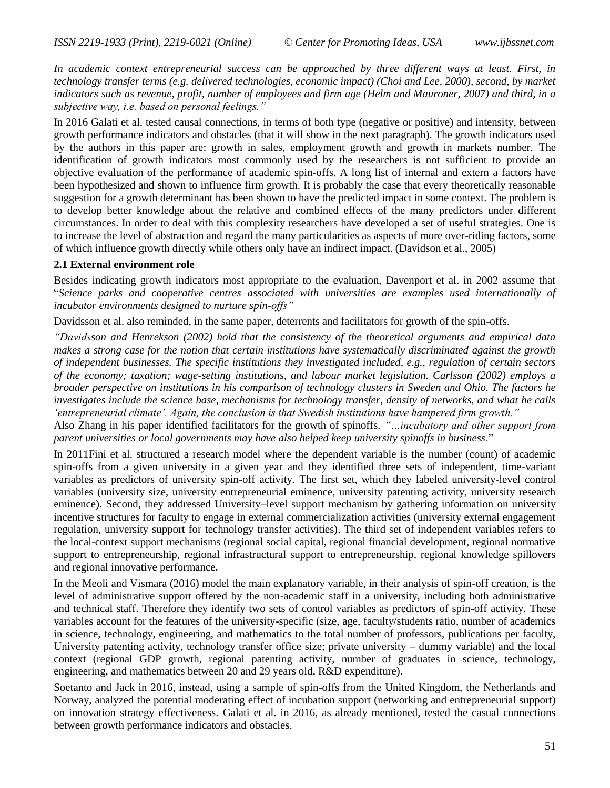*In academic context entrepreneurial success can be approached by three different ways at least. First, in technology transfer terms (e.g. delivered technologies, economic impact) (Choi and Lee, 2000), second, by market indicators such as revenue, profit, number of employees and firm age (Helm and Mauroner, 2007) and third, in a subjective way, i.e. based on personal feelings."*

In 2016 Galati et al. tested causal connections, in terms of both type (negative or positive) and intensity, between growth performance indicators and obstacles (that it will show in the next paragraph). The growth indicators used by the authors in this paper are: growth in sales, employment growth and growth in markets number. The identification of growth indicators most commonly used by the researchers is not sufficient to provide an objective evaluation of the performance of academic spin-offs. A long list of internal and extern a factors have been hypothesized and shown to influence firm growth. It is probably the case that every theoretically reasonable suggestion for a growth determinant has been shown to have the predicted impact in some context. The problem is to develop better knowledge about the relative and combined effects of the many predictors under different circumstances. In order to deal with this complexity researchers have developed a set of useful strategies. One is to increase the level of abstraction and regard the many particularities as aspects of more over-riding factors, some of which influence growth directly while others only have an indirect impact. (Davidson et al., 2005)

#### **2.1 External environment role**

Besides indicating growth indicators most appropriate to the evaluation, Davenport et al. in 2002 assume that "*Science parks and cooperative centres associated with universities are examples used internationally of incubator environments designed to nurture spin-offs"* 

Davidsson et al. also reminded, in the same paper, deterrents and facilitators for growth of the spin-offs.

*"Davidsson and Henrekson (2002) hold that the consistency of the theoretical arguments and empirical data makes a strong case for the notion that certain institutions have systematically discriminated against the growth of independent businesses. The specific institutions they investigated included, e.g., regulation of certain sectors of the economy; taxation; wage-setting institutions, and labour market legislation. Carlsson (2002) employs a broader perspective on institutions in his comparison of technology clusters in Sweden and Ohio. The factors he investigates include the science base, mechanisms for technology transfer, density of networks, and what he calls "entrepreneurial climate". Again, the conclusion is that Swedish institutions have hampered firm growth."*

Also Zhang in his paper identified facilitators for the growth of spinoffs. *"…incubatory and other support from parent universities or local governments may have also helped keep university spinoffs in business*."

In 2011Fini et al. structured a research model where the dependent variable is the number (count) of academic spin-offs from a given university in a given year and they identified three sets of independent, time-variant variables as predictors of university spin-off activity. The first set, which they labeled university-level control variables (university size, university entrepreneurial eminence, university patenting activity, university research eminence). Second, they addressed University–level support mechanism by gathering information on university incentive structures for faculty to engage in external commercialization activities (university external engagement regulation, university support for technology transfer activities). The third set of independent variables refers to the local-context support mechanisms (regional social capital, regional financial development, regional normative support to entrepreneurship, regional infrastructural support to entrepreneurship, regional knowledge spillovers and regional innovative performance.

In the Meoli and Vismara (2016) model the main explanatory variable, in their analysis of spin-off creation, is the level of administrative support offered by the non-academic staff in a university, including both administrative and technical staff. Therefore they identify two sets of control variables as predictors of spin-off activity. These variables account for the features of the university-specific (size, age, faculty/students ratio, number of academics in science, technology, engineering, and mathematics to the total number of professors, publications per faculty, University patenting activity, technology transfer office size; private university – dummy variable) and the local context (regional GDP growth, regional patenting activity, number of graduates in science, technology, engineering, and mathematics between 20 and 29 years old, R&D expenditure).

Soetanto and Jack in 2016, instead, using a sample of spin-offs from the United Kingdom, the Netherlands and Norway, analyzed the potential moderating effect of incubation support (networking and entrepreneurial support) on innovation strategy effectiveness. Galati et al. in 2016, as already mentioned, tested the casual connections between growth performance indicators and obstacles.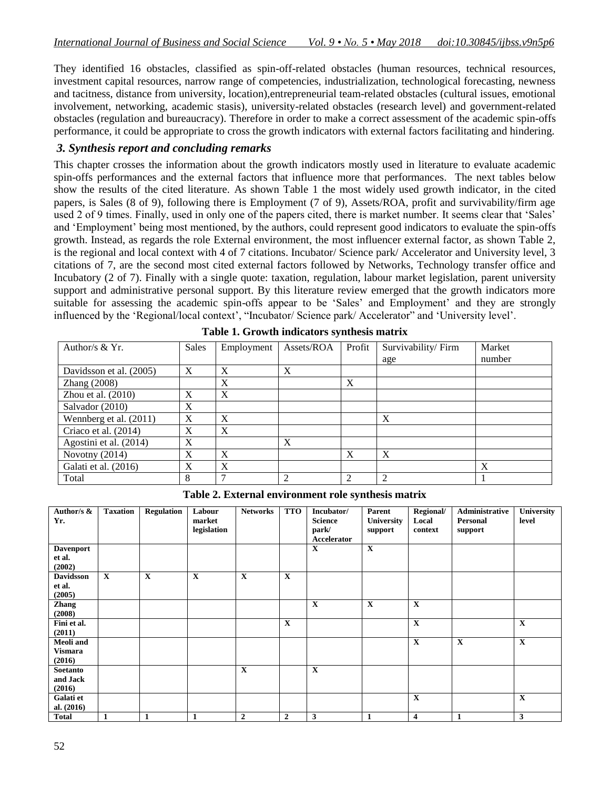They identified 16 obstacles, classified as spin-off-related obstacles (human resources, technical resources, investment capital resources, narrow range of competencies, industrialization, technological forecasting, newness and tacitness, distance from university, location),entrepreneurial team-related obstacles (cultural issues, emotional involvement, networking, academic stasis), university-related obstacles (research level) and government-related obstacles (regulation and bureaucracy). Therefore in order to make a correct assessment of the academic spin-offs performance, it could be appropriate to cross the growth indicators with external factors facilitating and hindering.

### *3. Synthesis report and concluding remarks*

This chapter crosses the information about the growth indicators mostly used in literature to evaluate academic spin-offs performances and the external factors that influence more that performances. The next tables below show the results of the cited literature. As shown Table 1 the most widely used growth indicator, in the cited papers, is Sales (8 of 9), following there is Employment (7 of 9), Assets/ROA, profit and survivability/firm age used 2 of 9 times. Finally, used in only one of the papers cited, there is market number. It seems clear that "Sales" and "Employment" being most mentioned, by the authors, could represent good indicators to evaluate the spin-offs growth. Instead, as regards the role External environment, the most influencer external factor, as shown Table 2, is the regional and local context with 4 of 7 citations. Incubator/ Science park/ Accelerator and University level, 3 citations of 7, are the second most cited external factors followed by Networks, Technology transfer office and Incubatory (2 of 7). Finally with a single quote: taxation, regulation, labour market legislation, parent university support and administrative personal support. By this literature review emerged that the growth indicators more suitable for assessing the academic spin-offs appear to be 'Sales' and Employment' and they are strongly influenced by the 'Regional/local context', "Incubator/ Science park/ Accelerator" and 'University level'.

| Author/s $& Yr.$        | Sales |   | Assets/ROA | Profit | Survivability/Firm | Market |  |
|-------------------------|-------|---|------------|--------|--------------------|--------|--|
|                         |       |   |            |        | age                | number |  |
| Davidsson et al. (2005) | X     | X | X          |        |                    |        |  |
| Zhang (2008)            |       | X |            | X      |                    |        |  |
| Zhou et al. $(2010)$    | X     | X |            |        |                    |        |  |
| Salvador (2010)         | X     |   |            |        |                    |        |  |
| Wennberg et al. (2011)  | X     | X |            |        | X                  |        |  |
| Criaco et al. (2014)    | X     | X |            |        |                    |        |  |
| Agostini et al. (2014)  | X     |   | X          |        |                    |        |  |
| Novotny (2014)          | X     | X |            | X      | X                  |        |  |
| Galati et al. (2016)    | X     | X |            |        |                    | X      |  |
| Total                   | 8     |   | 2          | ↑      | $\mathcal{L}$      |        |  |

**Table 1. Growth indicators synthesis matrix**

**Table 2. External environment role synthesis matrix**

| Author/s &<br>Yr.                            | <b>Taxation</b> | <b>Regulation</b> | Labour<br>market<br>legislation | <b>Networks</b>  | <b>TTO</b>     | Incubator/<br><b>Science</b><br>park/<br>Accelerator | Parent<br><b>University</b><br>support | Regional/<br>Local<br>context | Administrative<br>Personal<br>support | <b>University</b><br>level |
|----------------------------------------------|-----------------|-------------------|---------------------------------|------------------|----------------|------------------------------------------------------|----------------------------------------|-------------------------------|---------------------------------------|----------------------------|
| <b>Davenport</b><br>et al.<br>(2002)         |                 |                   |                                 |                  |                | X                                                    | $\mathbf X$                            |                               |                                       |                            |
| <b>Davidsson</b><br>et al.<br>(2005)         | $\mathbf X$     | $\mathbf X$       | $\mathbf X$                     | $\mathbf X$      | $\mathbf X$    |                                                      |                                        |                               |                                       |                            |
| <b>Zhang</b><br>(2008)                       |                 |                   |                                 |                  |                | $\mathbf X$                                          | $\mathbf X$                            | $\mathbf X$                   |                                       |                            |
| Fini et al.<br>(2011)                        |                 |                   |                                 |                  | X              |                                                      |                                        | $\mathbf X$                   |                                       | $\mathbf X$                |
| <b>Meoli</b> and<br><b>Vismara</b><br>(2016) |                 |                   |                                 |                  |                |                                                      |                                        | $\mathbf X$                   | $\mathbf X$                           | $\mathbf X$                |
| Soetanto<br>and Jack<br>(2016)               |                 |                   |                                 | X                |                | X                                                    |                                        |                               |                                       |                            |
| Galati et<br>al. $(2016)$                    |                 |                   |                                 |                  |                |                                                      |                                        | $\mathbf X$                   |                                       | $\mathbf X$                |
| <b>Total</b>                                 | $\mathbf{1}$    | $\mathbf{1}$      | 1                               | $\boldsymbol{2}$ | $\overline{2}$ | 3                                                    | $\mathbf{1}$                           | $\overline{\mathbf{4}}$       | $\mathbf{1}$                          | 3                          |